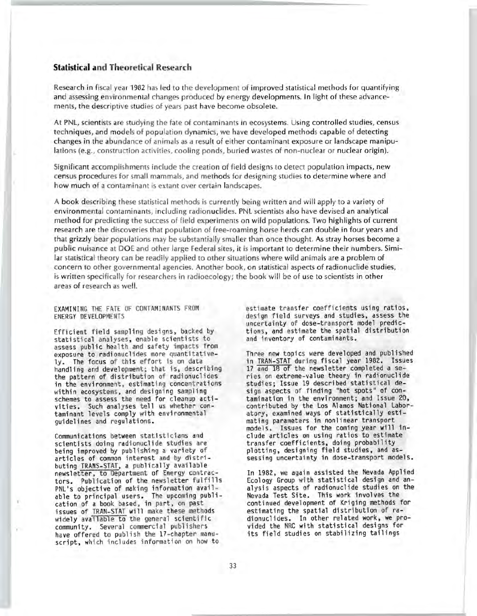# **Statistical and Theoretical Research**

Research in fiscal year 1982 has led to the development of improved statistical methods for quantifying and assessing environmental changes produced by energy developments. In light of these advancements, the descriptive studies of years past have become obsolete.

At PNL, scientists are studying the fate of contaminants in ecosystems. Using controlled studies, census techniques, and models of population dynamics, we have developed methods capable of detecting changes in the abundance of animals as a result of either contaminant exposure or landscape manipulations (e.g., construction activities, cooling ponds, buried wastes of non-nuclear or nuclear origin).

Significant accomplishments include the creation of field designs to detect population impacts, new census procedures for small mammals, and methods for designing studies to determine where and how much of a contaminant is extant over certain landscapes.

A book describing these statistical methods is currently being written and will apply to a variety of environmental contaminants, including radionuclides. PNL scientists also have devised an analytical method for predicting the success of field experiments on wild populations. Two highlights of current research are the discoveries that population of free-roaming horse herds can double in four years and that grizzly bear populations may be substantially smaller than once thought. As stray horses become a public nuisance at DOE and other large Federal sites, it is important to determine their numbers. Similar statistical theory can be readily applied to other situations where wild animals are a problem of concern to other governmental agencies. Another book, on statistical aspects of radionuclide studies, is written specifically for researchers in radioecology; the book will be of use to scientists in other areas of research as well.

EXAMINING THE FATE OF CONTAMINANTS FROM ENERGY DEVELOPMENTS

Efficient field sampling designs, backed by statistical analyses, enable scientists to assess public health and safety impacts from exposure to radionuclides more quantitative-<br>ly. The focus of this effort is on data handling and development; that is, describing the pattern of distribution of radionuclides in the environment, estimating concentrations within ecosystems, and designing sampling schemes to assess the need for cleanup activities. Such analyses tell us whether contaminant levels comply with environmental guidelines and regulations.

Communications between statisticians and scientists doing radionuclide studies are being improved by publishing a variety of<br>articles of common interest and by distributing TRANS-STAT, a publically available newsletter, to Department of Energy contractors. Publication of the newsletter fulfills PNL's objective of making information available to principal users. The upcoming publication of a book based, in part, on past issues of TRAN-STAT will make these methods widely available to the general scientific community. Seve ral commercial publishers have offered to publish the 17-chapter manuscript, which includes information on how to

estimate transfer coefficients using ratios, design field surveys and studies, assess the uncertainty of dose-transport model predictions, and estimate the spatial distribution and inventory of contaminants .

Three new topics were developed and published in TRAN-STAT during fiscal year 1982. Issues 17 and 18 of the newsletter completed a series on extreme-value theory in radionuclide studies; Issue 19 described statistical design aspects of finding "hot spots" of contamination in the environment; and Issue 20, contributed by the Los Alamos National Laboratory, examined ways of statistically estimating parameters in nonlinear transport models. Issues for the coming year will include articles on using ratios to estimate transfer coefficients, doing probability plotting, designing field studies, and assessing uncertainty in dose-transport models.

In 1982, we again assisted the Nevada Applied Ecology Group with statistical design and analysis aspects of radionuclide studies on the Nevada Test Site. This work involves the continued development of Kriging methods for estimating the spatial distribution of radionucli des. In other related work, we provided the NRC with statistical designs for its field studies on stabilizing tailings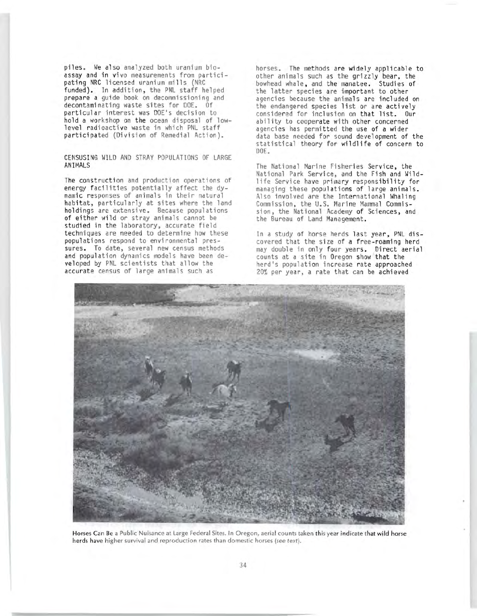piles. We also analyzed both uranium bioassay and in vivo measurements from participating NRC licensed uranium mills (NRC funded). In addition, the PNL staff helped prepare a guide book on decommissioning and decontaminating waste sites for DOE. Of particular interest was DOE's decision to hold a workshop on the ocean disposal of lowlevel radioactive waste in which PNL staff participated (Division of Remedial Action).

CE NSUSING WILD AND STRAY POPULATIONS OF LARGE ANI MALS

The construction and production operations of energy facilities potentially affect the dynamic responses of animals in their natural habitat, particularly at sites where the land holdings are extensive. Because populations of either wi ld or stray animals cannot be studied in the laboratory, accurate field techni ques are needed to determine how these populations respond to environmental pressures. To date, several new census methods and population dynamics models have been devel oped by PNL scientists that allow the accurate census of large animals such as

horses. The methods are widely applicable to other animals such as the grizzly bear, the bowhead whale, and the manatee. Studies of the latter species are important to other agencies because the animals are included on the endangered species list or are actively considered for inclusion on that list. Our ability to cooperate with other concerned agencies has permitted the use of a wider data base needed for sound development of the statistical theory for wildlife of concern to DOE.

The National Marine Fisheries Service, the National Park Service, and the Fish and Wildlife Service have primary responsibility for managing these populations of large animals. Also involved are the International Whaling Commission, the U.S. Marine Mammal Commission, the National Academy of Sciences, and the Bureau of Land Management.

In a study of horse herds last year, PNL discovered that the size of a free-roaming herd may double in only four years. Direct aerial counts at a site in Oregon show that the herd's population increase rate approached 20% per year, a rate that can be achieved



Horses Can Be a Public Nuisance at Large Federal Sites. In Oregon, aerial counts taken this year indicate that wild horse herds have higher survival and reproduction rates than domestic horses (see text).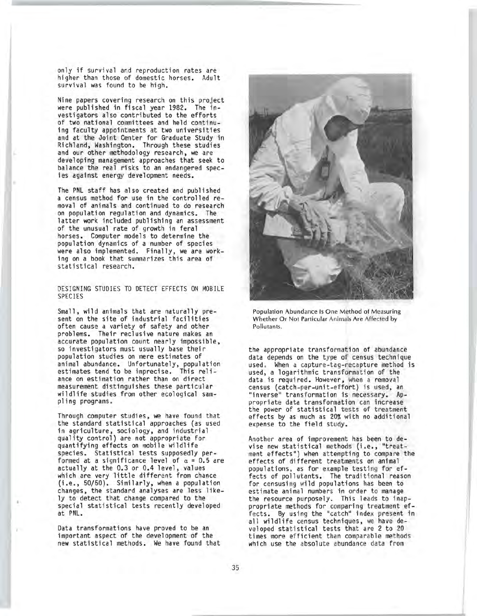only if survival and reproduction rates are higher than those of domestic horses. Adult survival was found to be high.

Nine papers covering research on this project were published in fiscal year 1982. The investigators also contributed to the efforts of two national committees and held continuing faculty appointments at two universities and at the Joint Center for Graduate Study in Richland, Washington. Through these studies and our other methodology research, we are developing management approaches that seek to balance the real risks to an endangered species against energy development needs.

The PNL staff has also created and published a census method for use in the controlled removal of animals and continued to do research on population regulation and dynamics. The latter work included publishing an assessment of the unusual rate of growth in feral horses. Computer models to determine the population dynamics of a number of species were also implemented. Finally, we are working on a book that summarizes this area of statistical research.

DESIGNING STUDIES TO DETECT EFFECTS ON MOBILE SPECIES

Small, wild animals that are naturally present on the site of industrial facilities often cause a variety of safety and other problems. Their reclusive nature makes an accurate population count nearly impossible, so investigators must usually base their population studies on mere estimates of animal abundance. Unfortunately, population estimates tend to be imprecise. This reliance on estimation rather than on direct measurement distinguishes these particular wildlife studies from other ecological sampling programs .

Through computer studies, we have found that the standard statistical approaches (as used in agriculture, sociology, and industrial quality control) are not appropriate for quantifying effects on mobile wildlife species. Statistical tests supposedly performed at a significance level of  $\alpha = 0.5$  are actually at the 0.3 or 0.4 level, values which are very little different from chance (i.e., 50/50). Similarly, when a population changes, the standard analyses are less likely to detect that change compared to the special statistical tests recently developed at PNL.

Data transformations have proved to be an important aspect of the development of the new statistical methods. We have found that



Population Abundance Is One Method of Measuring Whether Or Not Particular Animals Are Affected by Pollutants.

the appropriate transformation of abundance data depends on the type of census technique used. When a capture-tag-recapture method is used, a logarithmic transformation of the data is required. However, when a removal census (catch-per-unit-effort) is used, an "inverse" transformation is necessary. Appropriate data transformation can increase the power of statistical tests of treatment effects by as much as 20% with no additional expense to the field study.

Another area of improvement has been to devise new statistical methods (i **.e.,** "treatment effects") when attempting to compare the effects of different treatments on animal populations, as for example testing for effects of pollutants. The traditional reason for censusing wild populations has been to estimate animal numbers in order to manage the resource purposely. This leads to inappropriate methods for comparing treatment effects. By using the "catch" index present in all wildlife census techniques, we have developed statistical tests that are 2 to 20 times more efficient than comparable methods which use the absolute abundance data from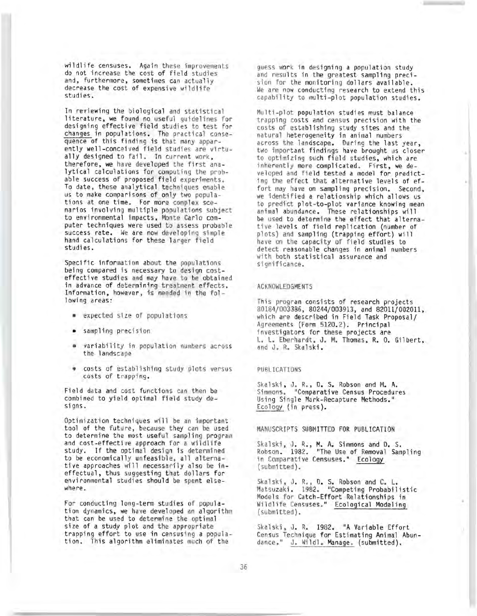wildlife censuses. Again these improvements guess work in designing a population study<br>do not increase the cost of field studies and results in the greatest sampling preci-<br>and, furthermore, sometimes can actually sion for

In reviewing the biological and statistical literature, we found no useful guidelines for designing effective field studies to test for<br>changes in populations. The practical consequence of this finding is that many apparently well-conceived field studies are virtu-<br>ally designed to fail. In current work, therefore, we have developed the first ana-<br>lytical calculations for computing the probable success of proposed field experiments. To date, these analytical techniques enable<br>us to make comparisons of only two populations at one time. For more complex scenarios involving multiple populations subject<br>to environmental impacts, Monte Carlo computer techniques were used to assess probable success rate. We are now developing simple hand calculations for these larger field studies.

Specific information about the populations being compared is necessary to design cost-<br>effective studies and may have to be obtained in advance of determining treatment effects. Information, however, is needed in the following areas :

- expected si ze of populations
- sampling precision
- variability in population numbers across the landscape
- costs of establishing study plots versus costs of trapping.

Field data and cost functions can then be combined to yield optimal field study desi gns.

Optimization techniques will be an important tool of the future, because they can be used to determine the most useful sampling program and cost-effective approach for a wildlife study. If the optimal design is determined<br>to be economically unfeasible, all alternative approaches will necessarily also be ineffectual, thus suggesting that dollars for environmental studies should be spent elsewhere.

For conducting long-term studies of population dynamics, we have developed an algorithm that can be used to determine the optimal size of a study plot and the appropriate trapping effort to use in censusing a popula-<br>tion. This algorithm eliminates much of the

decrease the cost of expensive wildlife We are now conducting research to extend this<br>studies. capability to multi-plot population studies.

> Multi-plot population studies must balance trapping costs and census precision with the costs of establishing study sites and the natural heterogene ity in animal numbers across the landscape. During the last year, two important findings have brought us closer to optimizing such field studies, which are inherently more complicated. First, we developed and field tested a model for predicting the effect that alternative levels of effort may have on sampling precision. Second, we identified a relationship which allows us to predict plot-to-plot variance knowing mean animal abundance. These relationships will be used to determine the effect that alternative levels of field replication (number of plots) and sampling (trapping effort) will have on the capacity of field studies to detect reasonable changes in animal numbers with both statistical assurance and si gnifi cance .

#### ACKNOWLEDGMENTS

This program consists of research projects 80184/003386, 80244/ 003913 , and 82011/ 002011, which are described in Field Task Proposal/ Agreements (Form 5120.2). Principal investigators for these projects are L. L. Eberhardt, J. M. Thomas, R. O. Gilbert, and J. R. Skalski.

#### PUBLICATIONS

Skalski, J. R., D. S. Robson and M. A. Simmons. "Comparative Census Procedures Using Single Mark-Recapture Methods." Ecology (in press ).

#### MANUSCRIPTS SUBMITTED FOR PUBLICATION

Skalski, J. R., M. A. Simmons and D. S. Robson. 1982. "The Use of Removal Sampling in Comparative Censuses." Ecology (submitted).

Skalski, J. R., D. S. Robson and C. L.<br>Matsuzaki. 1982. "Competing Probabilistic Models for Ca tch-Effort Re l ationships in Wildlife Censuses." Ecological Modeling (submitted) •

Skalski, J. R. 1982. "A Variable Effort Census Technique for Estimating Animal Abundance." J. Wildl. Manage. (submitted).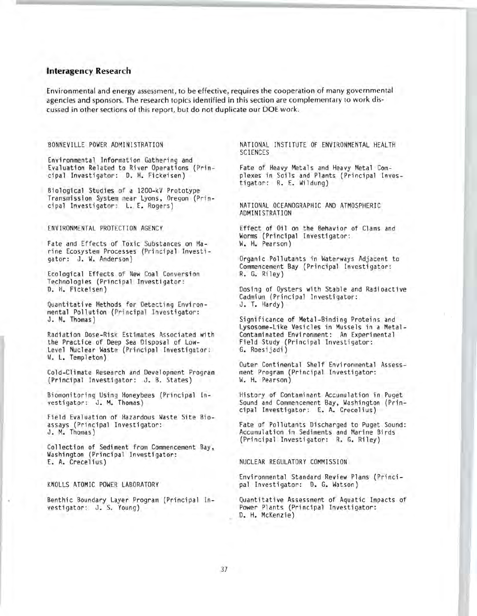## **Interagency Research**

Environmental and energy assessment, to be effective, requires the cooperation of many governmental agencies and sponsors. The research topics identified in this section are complementary to work discussed in other sections of this report, but do not duplicate our DOE work.

### BONNEVILLE POWER ADMINISTRATION

Environmental Information Gathering and Evaluation Related to River Operations (Principal Investigator: D. H. Fickeisen)

Biological Studies of a 1200-kV Prototype Transmission System near Lyons, Oregon (Principal Investigator: L. E. Rogers)

ENVIRONMENTAL PROTECTION AGENCY

Fate and Effects of Toxic Substances on Marine Ecosystem Processes (Principal Investigator: J. W. Anderson)

Ecological Effects of New Coal Conversion Technologies (Principal Investigator: D. H. Fickeisen)

Quantitative Methods for Detecting Environmental Pollution (Principal Investigator: J. M. Thomas)

Radiation Dose-Risk Estimates Associated with the Practice of Deep Sea Disposal of Low-Level Nuclear Waste (Principal Investigator: W. L. Templeton)

Cold-Climate Research and Development Program (Principal Investigator: J. B. States)

Biomonitoring Using Honeybees (Principal Investigator: J. M. Thomas)

Field Evaluation of Hazardous Waste Site Bioassays (Principal Investigator:<br>J. M. Thomas)

Collection of Sediment from Commencement Bay, Washington (Principal Investigator: E. A. Crecelius)

KNOLLS ATOMIC POWER LABORATORY

Benthic Boundary Layer Program (Principal Investigator: J. S. Young)

NATIONAL INSTITUTE OF ENVIRONMENTAL HEALTH **SCIENCES** 

Fate of Heavy Metals and Heavy Metal Complexes in Soils and Plants (Principal Investigator: R. E. Wildung)

NATIONAL OCEANOGRAPHIC AND ATMOSPHERIC ADMINISTRATION

Effect of Oil on the Behavior of Clams and Worms (Principal Investigator: W. H. Pearson)

Organic Pollutants in Waterways Adjacent to Commencement Bay (Principal Investigator: R. G. Riley)

Dosing of Oysters with Stable and Radioactive Cadmium (Principal Investigator: J. T. Hardy)

Significance of Metal-Binding Proteins and Lysosome-Like Vesicles in Mussels in a Metal-Contaminated Environment: An Experimental Field Study (Principal Investigator: G. Roesijadi)

Outer Continental Shelf Environmental Assessment Program (Principal Investigator: W. H. Pearson)

History of Contaminant Accumulation in Puget Sound and Commencement Bay, Washington (Principal Investigator: E. A. Crecelius)

Fate of Pollutants Discharged to Puget Sound: Accumulation in Sediments and Marine Birds (Principal Investigator: R. G. Riley)

### NUCLEAR REGULATORY COMMISSION

Environmental Standard Review Plans (Principal Investigator: D. G. Watson)

Quantitative Assessment of Aquatic Impacts of Power Plants (Principal Investigator: D. H. McKenzie)